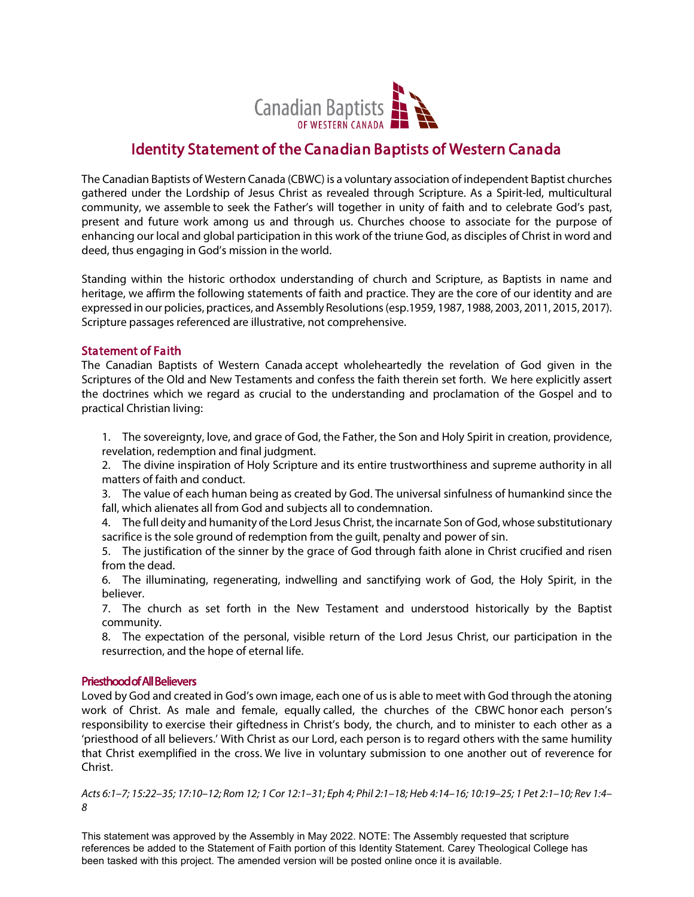

# Identity Statement of the Canadian Baptists of Western Canada

The Canadian Baptists of Western Canada (CBWC) is a voluntary association of independent Baptist churches gathered under the Lordship of Jesus Christ as revealed through Scripture. As a Spirit-led, multicultural community, we assemble to seek the Father's will together in unity of faith and to celebrate God's past, present and future work among us and through us. Churches choose to associate for the purpose of enhancing our local and global participation in this work of the triune God, as disciples of Christ in word and deed, thus engaging in God's mission in the world.

Standing within the historic orthodox understanding of church and Scripture, as Baptists in name and heritage, we affirm the following statements of faith and practice. They are the core of our identity and are expressed in our policies, practices, and Assembly Resolutions (esp.1959, 1987, 1988, 2003, 2011, 2015, 2017). Scripture passages referenced are illustrative, not comprehensive.

## Statement of Faith

The Canadian Baptists of Western Canada accept wholeheartedly the revelation of God given in the Scriptures of the Old and New Testaments and confess the faith therein set forth. We here explicitly assert the doctrines which we regard as crucial to the understanding and proclamation of the Gospel and to practical Christian living:

1. The sovereignty, love, and grace of God, the Father, the Son and Holy Spirit in creation, providence, revelation, redemption and final judgment.

2. The divine inspiration of Holy Scripture and its entire trustworthiness and supreme authority in all matters of faith and conduct.

3. The value of each human being as created by God. The universal sinfulness of humankind since the fall, which alienates all from God and subjects all to condemnation.

4. The full deity and humanity of the Lord Jesus Christ, the incarnate Son of God, whose substitutionary sacrifice is the sole ground of redemption from the guilt, penalty and power of sin.

5. The justification of the sinner by the grace of God through faith alone in Christ crucified and risen from the dead.

6. The illuminating, regenerating, indwelling and sanctifying work of God, the Holy Spirit, in the believer.

7. The church as set forth in the New Testament and understood historically by the Baptist community.

8. The expectation of the personal, visible return of the Lord Jesus Christ, our participation in the resurrection, and the hope of eternal life.

## Priesthood of All Believers

Loved by God and created in God's own image, each one of usis able to meet with God through the atoning work of Christ. As male and female, equally called, the churches of the CBWC honor each person's responsibility to exercise their giftedness in Christ's body, the church, and to minister to each other as a 'priesthood of all believers.' With Christ as our Lord, each person is to regard others with the same humility that Christ exemplified in the cross. We live in voluntary submission to one another out of reverence for Christ.

*Acts 6:1–7; 15:22–35; 17:10–12; Rom 12; 1 Cor 12:1–31; Eph 4; Phil 2:1–18; Heb 4:14–16; 10:19–25; 1 Pet 2:1–10; Rev 1:4– 8* 

This statement was approved by the Assembly in May 2022. NOTE: The Assembly requested that scripture references be added to the Statement of Faith portion of this Identity Statement. Carey Theological College has been tasked with this project. The amended version will be posted online once it is available.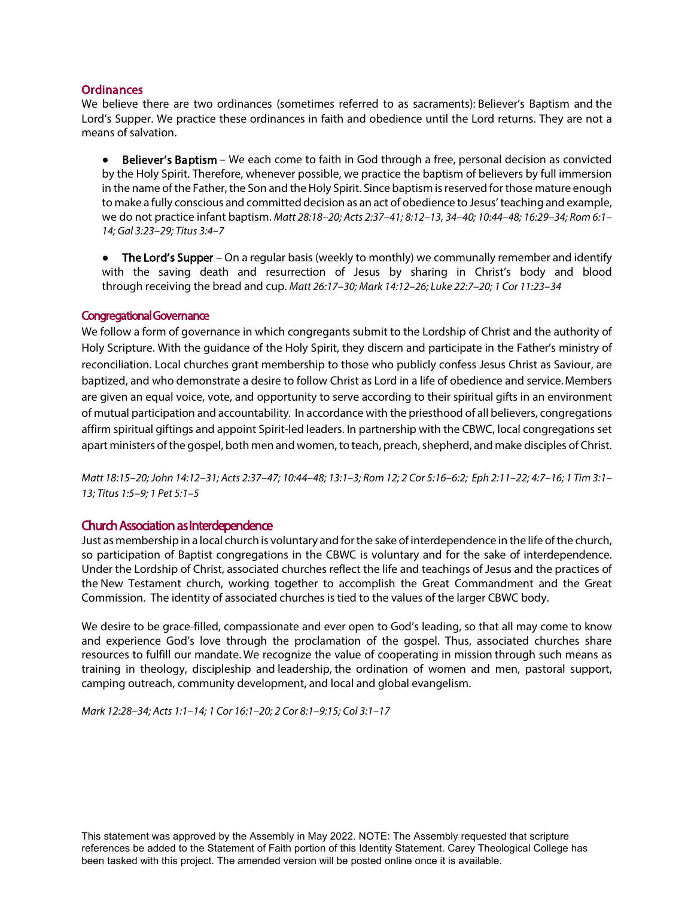## **Ordinances**

We believe there are two ordinances (sometimes referred to as sacraments): Believer's Baptism and the Lord's Supper. We practice these ordinances in faith and obedience until the Lord returns. They are not a means of salvation.

● Believer's Baptism – We each come to faith in God through a free, personal decision as convicted by the Holy Spirit. Therefore, whenever possible, we practice the baptism of believers by full immersion in the name of the Father, the Son and the Holy Spirit. Since baptism is reserved for those mature enough to make a fully conscious and committed decision as an act of obedience to Jesus' teaching and example, we do not practice infant baptism. *Matt 28:18–20; Acts 2:37–41; 8:12–13, 34–40; 10:44–48; 16:29–34; Rom 6:1– 14; Gal 3:23–29; Titus 3:4–7*

• The Lord's Supper – On a regular basis (weekly to monthly) we communally remember and identify with the saving death and resurrection of Jesus by sharing in Christ's body and blood through receiving the bread and cup. *Matt 26:17–30; Mark 14:12–26; Luke 22:7–20; 1 Cor 11:23–34*

### Congregational Governance

We follow a form of governance in which congregants submit to the Lordship of Christ and the authority of Holy Scripture. With the guidance of the Holy Spirit, they discern and participate in the Father's ministry of reconciliation. Local churches grant membership to those who publicly confess Jesus Christ as Saviour, are baptized, and who demonstrate a desire to follow Christ as Lord in a life of obedience and service.Members are given an equal voice, vote, and opportunity to serve according to their spiritual gifts in an environment of mutual participation and accountability*.* In accordance with the priesthood of all believers, congregations affirm spiritual giftings and appoint Spirit-led leaders. In partnership with the CBWC, local congregations set apart ministers of the gospel, both men and women, to teach, preach, shepherd, and make disciples of Christ.

*Matt 18:15–20; John 14:12–31; Acts 2:37–47; 10:44–48; 13:1–3; Rom 12; 2 Cor 5:16–6:2; Eph 2:11–22; 4:7–16; 1 Tim 3:1– 13; Titus 1:5–9; 1 Pet 5:1–5*

## Church Association as Interdependence

Just as membership in a local church is voluntary and for the sake of interdependence in the life of the church, so participation of Baptist congregations in the CBWC is voluntary and for the sake of interdependence. Under the Lordship of Christ, associated churches reflect the life and teachings of Jesus and the practices of the New Testament church, working together to accomplish the Great Commandment and the Great Commission. The identity of associated churches is tied to the values of the larger CBWC body.

We desire to be grace-filled, compassionate and ever open to God's leading, so that all may come to know and experience God's love through the proclamation of the gospel. Thus, associated churches share resources to fulfill our mandate. We recognize the value of cooperating in mission through such means as training in theology, discipleship and leadership, the ordination of women and men, pastoral support, camping outreach, community development, and local and global evangelism.

*Mark 12:28–34; Acts 1:1–14; 1 Cor 16:1–20; 2 Cor 8:1–9:15; Col 3:1–17*

This statement was approved by the Assembly in May 2022. NOTE: The Assembly requested that scripture references be added to the Statement of Faith portion of this Identity Statement. Carey Theological College has been tasked with this project. The amended version will be posted online once it is available.